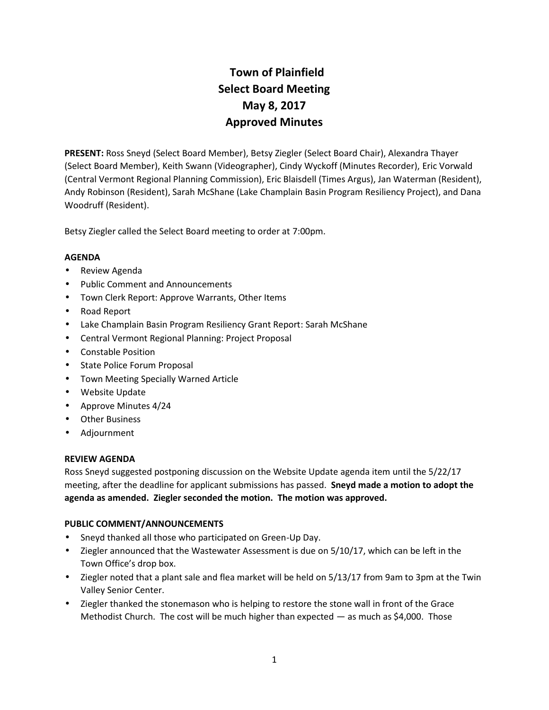# **Town of Plainfield Select Board Meeting May 8, 2017 Approved Minutes**

**PRESENT:** Ross Sneyd (Select Board Member), Betsy Ziegler (Select Board Chair), Alexandra Thayer (Select Board Member), Keith Swann (Videographer), Cindy Wyckoff (Minutes Recorder), Eric Vorwald (Central Vermont Regional Planning Commission), Eric Blaisdell (Times Argus), Jan Waterman (Resident), Andy Robinson (Resident), Sarah McShane (Lake Champlain Basin Program Resiliency Project), and Dana Woodruff (Resident).

Betsy Ziegler called the Select Board meeting to order at 7:00pm.

## **AGENDA**

- Review Agenda
- Public Comment and Announcements
- Town Clerk Report: Approve Warrants, Other Items
- Road Report
- Lake Champlain Basin Program Resiliency Grant Report: Sarah McShane
- Central Vermont Regional Planning: Project Proposal
- Constable Position
- State Police Forum Proposal
- Town Meeting Specially Warned Article
- Website Update
- Approve Minutes 4/24
- Other Business
- Adjournment

## **REVIEW AGENDA**

Ross Sneyd suggested postponing discussion on the Website Update agenda item until the 5/22/17 meeting, after the deadline for applicant submissions has passed. **Sneyd made a motion to adopt the agenda as amended. Ziegler seconded the motion. The motion was approved.**

## **PUBLIC COMMENT/ANNOUNCEMENTS**

- Sneyd thanked all those who participated on Green-Up Day.
- Ziegler announced that the Wastewater Assessment is due on 5/10/17, which can be left in the Town Office's drop box.
- Ziegler noted that a plant sale and flea market will be held on 5/13/17 from 9am to 3pm at the Twin Valley Senior Center.
- Ziegler thanked the stonemason who is helping to restore the stone wall in front of the Grace Methodist Church. The cost will be much higher than expected  $-$  as much as \$4,000. Those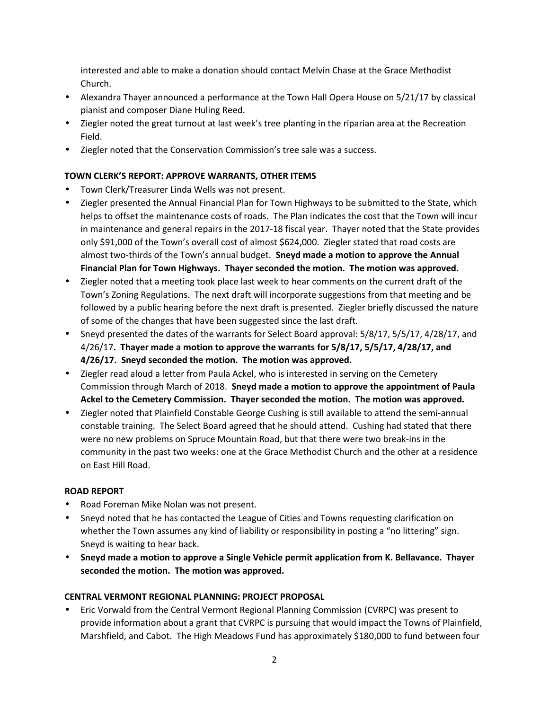interested and able to make a donation should contact Melvin Chase at the Grace Methodist Church.

- Alexandra Thayer announced a performance at the Town Hall Opera House on 5/21/17 by classical pianist and composer Diane Huling Reed.
- Ziegler noted the great turnout at last week's tree planting in the riparian area at the Recreation Field.
- Ziegler noted that the Conservation Commission's tree sale was a success.

## **TOWN CLERK'S REPORT: APPROVE WARRANTS, OTHER ITEMS**

- Town Clerk/Treasurer Linda Wells was not present.
- Ziegler presented the Annual Financial Plan for Town Highways to be submitted to the State, which helps to offset the maintenance costs of roads. The Plan indicates the cost that the Town will incur in maintenance and general repairs in the 2017-18 fiscal year. Thayer noted that the State provides only \$91,000 of the Town's overall cost of almost \$624,000. Ziegler stated that road costs are almost two-thirds of the Town's annual budget. **Sneyd made a motion to approve the Annual Financial Plan for Town Highways. Thayer seconded the motion. The motion was approved.**
- Ziegler noted that a meeting took place last week to hear comments on the current draft of the Town's Zoning Regulations. The next draft will incorporate suggestions from that meeting and be followed by a public hearing before the next draft is presented. Ziegler briefly discussed the nature of some of the changes that have been suggested since the last draft.
- Sneyd presented the dates of the warrants for Select Board approval: 5/8/17, 5/5/17, 4/28/17, and 4/26/17**. Thayer made a motion to approve the warrants for 5/8/17, 5/5/17, 4/28/17, and 4/26/17. Sneyd seconded the motion. The motion was approved.**
- Ziegler read aloud a letter from Paula Ackel, who is interested in serving on the Cemetery Commission through March of 2018. **Sneyd made a motion to approve the appointment of Paula Ackel to the Cemetery Commission. Thayer seconded the motion. The motion was approved.**
- Ziegler noted that Plainfield Constable George Cushing is still available to attend the semi-annual constable training. The Select Board agreed that he should attend. Cushing had stated that there were no new problems on Spruce Mountain Road, but that there were two break-ins in the community in the past two weeks: one at the Grace Methodist Church and the other at a residence on East Hill Road.

## **ROAD REPORT**

- Road Foreman Mike Nolan was not present.
- Sneyd noted that he has contacted the League of Cities and Towns requesting clarification on whether the Town assumes any kind of liability or responsibility in posting a "no littering" sign. Sneyd is waiting to hear back.
- **Sneyd made a motion to approve a Single Vehicle permit application from K. Bellavance. Thayer seconded the motion. The motion was approved.**

## **CENTRAL VERMONT REGIONAL PLANNING: PROJECT PROPOSAL**

 Eric Vorwald from the Central Vermont Regional Planning Commission (CVRPC) was present to provide information about a grant that CVRPC is pursuing that would impact the Towns of Plainfield, Marshfield, and Cabot. The High Meadows Fund has approximately \$180,000 to fund between four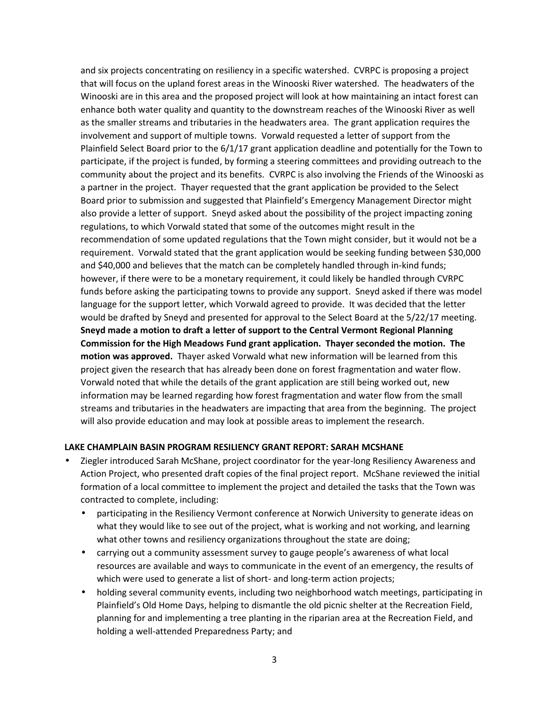and six projects concentrating on resiliency in a specific watershed. CVRPC is proposing a project that will focus on the upland forest areas in the Winooski River watershed. The headwaters of the Winooski are in this area and the proposed project will look at how maintaining an intact forest can enhance both water quality and quantity to the downstream reaches of the Winooski River as well as the smaller streams and tributaries in the headwaters area. The grant application requires the involvement and support of multiple towns. Vorwald requested a letter of support from the Plainfield Select Board prior to the 6/1/17 grant application deadline and potentially for the Town to participate, if the project is funded, by forming a steering committees and providing outreach to the community about the project and its benefits. CVRPC is also involving the Friends of the Winooski as a partner in the project. Thayer requested that the grant application be provided to the Select Board prior to submission and suggested that Plainfield's Emergency Management Director might also provide a letter of support. Sneyd asked about the possibility of the project impacting zoning regulations, to which Vorwald stated that some of the outcomes might result in the recommendation of some updated regulations that the Town might consider, but it would not be a requirement. Vorwald stated that the grant application would be seeking funding between \$30,000 and \$40,000 and believes that the match can be completely handled through in-kind funds; however, if there were to be a monetary requirement, it could likely be handled through CVRPC funds before asking the participating towns to provide any support. Sneyd asked if there was model language for the support letter, which Vorwald agreed to provide. It was decided that the letter would be drafted by Sneyd and presented for approval to the Select Board at the 5/22/17 meeting. **Sneyd made a motion to draft a letter of support to the Central Vermont Regional Planning Commission for the High Meadows Fund grant application. Thayer seconded the motion. The motion was approved.** Thayer asked Vorwald what new information will be learned from this project given the research that has already been done on forest fragmentation and water flow. Vorwald noted that while the details of the grant application are still being worked out, new information may be learned regarding how forest fragmentation and water flow from the small streams and tributaries in the headwaters are impacting that area from the beginning. The project will also provide education and may look at possible areas to implement the research.

## **LAKE CHAMPLAIN BASIN PROGRAM RESILIENCY GRANT REPORT: SARAH MCSHANE**

- Ziegler introduced Sarah McShane, project coordinator for the year-long Resiliency Awareness and Action Project, who presented draft copies of the final project report. McShane reviewed the initial formation of a local committee to implement the project and detailed the tasks that the Town was contracted to complete, including:
	- participating in the Resiliency Vermont conference at Norwich University to generate ideas on what they would like to see out of the project, what is working and not working, and learning what other towns and resiliency organizations throughout the state are doing;
	- carrying out a community assessment survey to gauge people's awareness of what local resources are available and ways to communicate in the event of an emergency, the results of which were used to generate a list of short- and long-term action projects;
	- holding several community events, including two neighborhood watch meetings, participating in Plainfield's Old Home Days, helping to dismantle the old picnic shelter at the Recreation Field, planning for and implementing a tree planting in the riparian area at the Recreation Field, and holding a well-attended Preparedness Party; and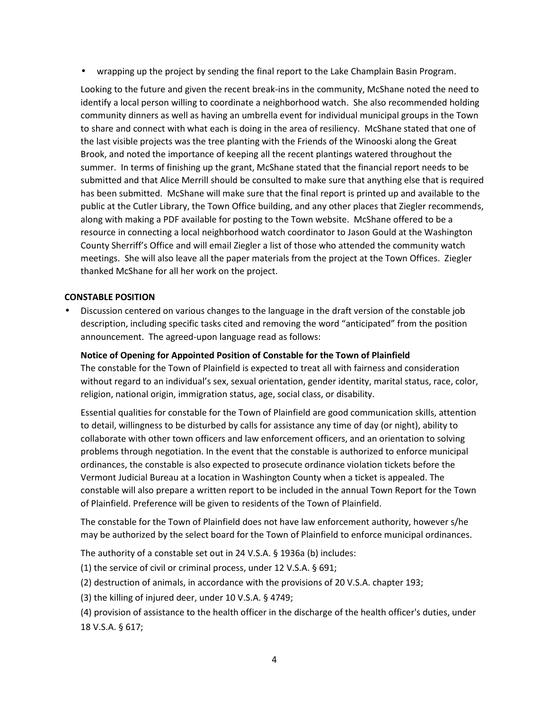wrapping up the project by sending the final report to the Lake Champlain Basin Program.

Looking to the future and given the recent break-ins in the community, McShane noted the need to identify a local person willing to coordinate a neighborhood watch. She also recommended holding community dinners as well as having an umbrella event for individual municipal groups in the Town to share and connect with what each is doing in the area of resiliency. McShane stated that one of the last visible projects was the tree planting with the Friends of the Winooski along the Great Brook, and noted the importance of keeping all the recent plantings watered throughout the summer. In terms of finishing up the grant, McShane stated that the financial report needs to be submitted and that Alice Merrill should be consulted to make sure that anything else that is required has been submitted. McShane will make sure that the final report is printed up and available to the public at the Cutler Library, the Town Office building, and any other places that Ziegler recommends, along with making a PDF available for posting to the Town website. McShane offered to be a resource in connecting a local neighborhood watch coordinator to Jason Gould at the Washington County Sherriff's Office and will email Ziegler a list of those who attended the community watch meetings. She will also leave all the paper materials from the project at the Town Offices. Ziegler thanked McShane for all her work on the project.

#### **CONSTABLE POSITION**

 Discussion centered on various changes to the language in the draft version of the constable job description, including specific tasks cited and removing the word "anticipated" from the position announcement. The agreed-upon language read as follows:

#### **Notice of Opening for Appointed Position of Constable for the Town of Plainfield**

The constable for the Town of Plainfield is expected to treat all with fairness and consideration without regard to an individual's sex, sexual orientation, gender identity, marital status, race, color, religion, national origin, immigration status, age, social class, or disability.

Essential qualities for constable for the Town of Plainfield are good communication skills, attention to detail, willingness to be disturbed by calls for assistance any time of day (or night), ability to collaborate with other town officers and law enforcement officers, and an orientation to solving problems through negotiation. In the event that the constable is authorized to enforce municipal ordinances, the constable is also expected to prosecute ordinance violation tickets before the Vermont Judicial Bureau at a location in Washington County when a ticket is appealed. The constable will also prepare a written report to be included in the annual Town Report for the Town of Plainfield. Preference will be given to residents of the Town of Plainfield.

The constable for the Town of Plainfield does not have law enforcement authority, however s/he may be authorized by the select board for the Town of Plainfield to enforce municipal ordinances.

The authority of a constable set out in 24 V.S.A. § 1936a (b) includes:

(1) the service of civil or criminal process, under 12 V.S.A. § 691;

- (2) destruction of animals, in accordance with the provisions of 20 V.S.A. chapter 193;
- (3) the killing of injured deer, under 10 V.S.A. § 4749;
- (4) provision of assistance to the health officer in the discharge of the health officer's duties, under 18 V.S.A. § 617;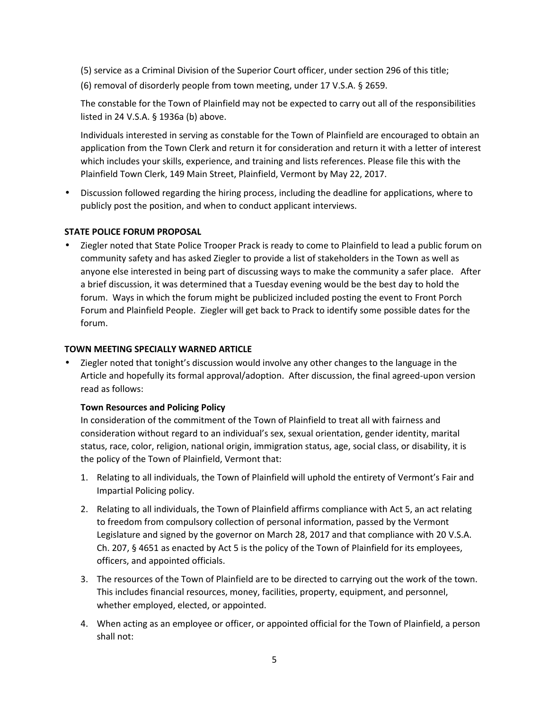(5) service as a Criminal Division of the Superior Court officer, under section 296 of this title;

(6) removal of disorderly people from town meeting, under 17 V.S.A. § 2659.

The constable for the Town of Plainfield may not be expected to carry out all of the responsibilities listed in 24 V.S.A. § 1936a (b) above.

Individuals interested in serving as constable for the Town of Plainfield are encouraged to obtain an application from the Town Clerk and return it for consideration and return it with a letter of interest which includes your skills, experience, and training and lists references. Please file this with the Plainfield Town Clerk, 149 Main Street, Plainfield, Vermont by May 22, 2017.

 Discussion followed regarding the hiring process, including the deadline for applications, where to publicly post the position, and when to conduct applicant interviews.

#### **STATE POLICE FORUM PROPOSAL**

 Ziegler noted that State Police Trooper Prack is ready to come to Plainfield to lead a public forum on community safety and has asked Ziegler to provide a list of stakeholders in the Town as well as anyone else interested in being part of discussing ways to make the community a safer place. After a brief discussion, it was determined that a Tuesday evening would be the best day to hold the forum. Ways in which the forum might be publicized included posting the event to Front Porch Forum and Plainfield People. Ziegler will get back to Prack to identify some possible dates for the forum.

#### **TOWN MEETING SPECIALLY WARNED ARTICLE**

 Ziegler noted that tonight's discussion would involve any other changes to the language in the Article and hopefully its formal approval/adoption. After discussion, the final agreed-upon version read as follows:

#### **Town Resources and Policing Policy**

In consideration of the commitment of the Town of Plainfield to treat all with fairness and consideration without regard to an individual's sex, sexual orientation, gender identity, marital status, race, color, religion, national origin, immigration status, age, social class, or disability, it is the policy of the Town of Plainfield, Vermont that:

- 1. Relating to all individuals, the Town of Plainfield will uphold the entirety of Vermont's Fair and Impartial Policing policy.
- 2. Relating to all individuals, the Town of Plainfield affirms compliance with Act 5, an act relating to freedom from compulsory collection of personal information, passed by the Vermont Legislature and signed by the governor on March 28, 2017 and that compliance with 20 V.S.A. Ch. 207, § 4651 as enacted by Act 5 is the policy of the Town of Plainfield for its employees, officers, and appointed officials.
- 3. The resources of the Town of Plainfield are to be directed to carrying out the work of the town. This includes financial resources, money, facilities, property, equipment, and personnel, whether employed, elected, or appointed.
- 4. When acting as an employee or officer, or appointed official for the Town of Plainfield, a person shall not: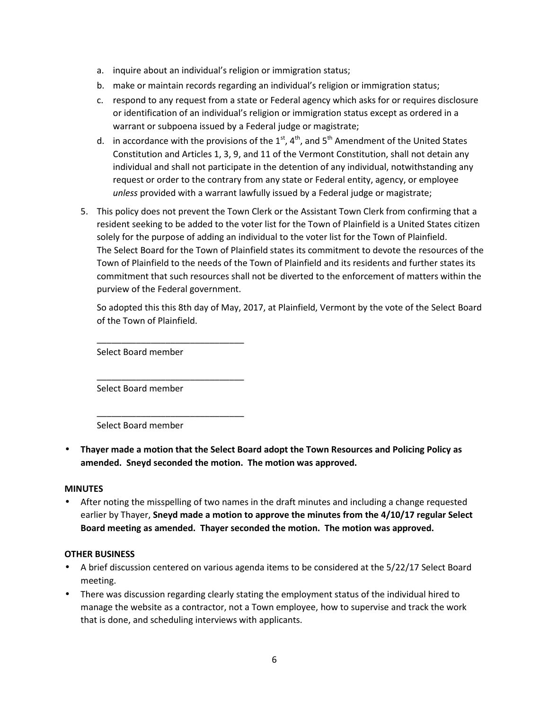- a. inquire about an individual's religion or immigration status;
- b. make or maintain records regarding an individual's religion or immigration status;
- c. respond to any request from a state or Federal agency which asks for or requires disclosure or identification of an individual's religion or immigration status except as ordered in a warrant or subpoena issued by a Federal judge or magistrate;
- d. in accordance with the provisions of the  $1<sup>st</sup>$ , 4<sup>th</sup>, and 5<sup>th</sup> Amendment of the United States Constitution and Articles 1, 3, 9, and 11 of the Vermont Constitution, shall not detain any individual and shall not participate in the detention of any individual, notwithstanding any request or order to the contrary from any state or Federal entity, agency, or employee *unless* provided with a warrant lawfully issued by a Federal judge or magistrate;
- 5. This policy does not prevent the Town Clerk or the Assistant Town Clerk from confirming that a resident seeking to be added to the voter list for the Town of Plainfield is a United States citizen solely for the purpose of adding an individual to the voter list for the Town of Plainfield. The Select Board for the Town of Plainfield states its commitment to devote the resources of the Town of Plainfield to the needs of the Town of Plainfield and its residents and further states its commitment that such resources shall not be diverted to the enforcement of matters within the purview of the Federal government.

So adopted this this 8th day of May, 2017, at Plainfield, Vermont by the vote of the Select Board of the Town of Plainfield.

Select Board member

\_\_\_\_\_\_\_\_\_\_\_\_\_\_\_\_\_\_\_\_\_\_\_\_\_\_\_\_\_\_

\_\_\_\_\_\_\_\_\_\_\_\_\_\_\_\_\_\_\_\_\_\_\_\_\_\_\_\_\_\_

\_\_\_\_\_\_\_\_\_\_\_\_\_\_\_\_\_\_\_\_\_\_\_\_\_\_\_\_\_\_

Select Board member

Select Board member

 **Thayer made a motion that the Select Board adopt the Town Resources and Policing Policy as amended. Sneyd seconded the motion. The motion was approved.**

#### **MINUTES**

 After noting the misspelling of two names in the draft minutes and including a change requested earlier by Thayer, **Sneyd made a motion to approve the minutes from the 4/10/17 regular Select Board meeting as amended. Thayer seconded the motion. The motion was approved.**

## **OTHER BUSINESS**

- A brief discussion centered on various agenda items to be considered at the 5/22/17 Select Board meeting.
- There was discussion regarding clearly stating the employment status of the individual hired to manage the website as a contractor, not a Town employee, how to supervise and track the work that is done, and scheduling interviews with applicants.